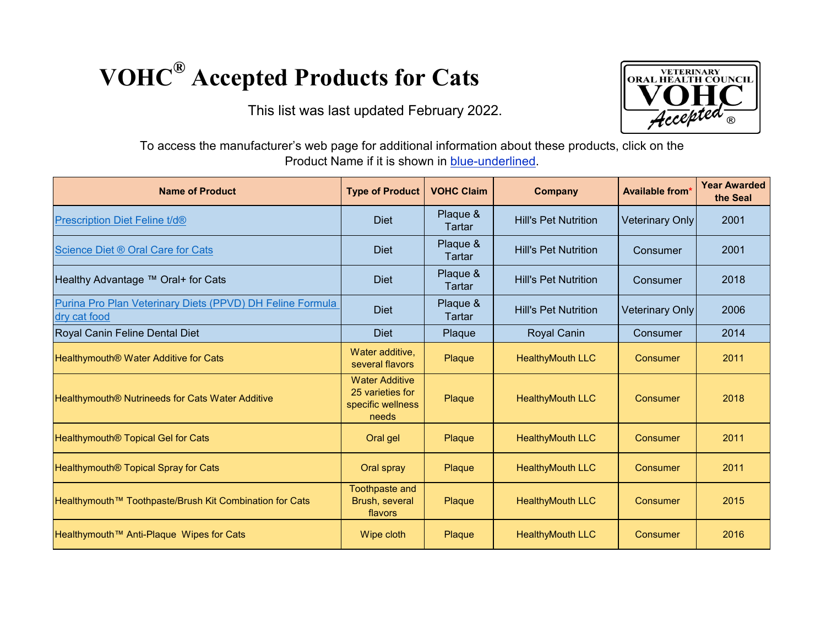## **VOHC® Accepted Products for Cats**

This list was last updated February 2022.



To access the manufacturer's web page for additional information about these products, click on the Product Name if it is shown in blue-underlined.

| <b>Name of Product</b>                                                    | <b>Type of Product</b>                                                  | <b>VOHC Claim</b>  | <b>Company</b>              | <b>Available from*</b> | <b>Year Awarded</b><br>the Seal |
|---------------------------------------------------------------------------|-------------------------------------------------------------------------|--------------------|-----------------------------|------------------------|---------------------------------|
| <b>Prescription Diet Feline t/d®</b>                                      | <b>Diet</b>                                                             | Plaque &<br>Tartar | <b>Hill's Pet Nutrition</b> | <b>Veterinary Only</b> | 2001                            |
| Science Diet ® Oral Care for Cats                                         | <b>Diet</b>                                                             | Plaque &<br>Tartar | <b>Hill's Pet Nutrition</b> | Consumer               | 2001                            |
| Healthy Advantage ™ Oral+ for Cats                                        | <b>Diet</b>                                                             | Plaque &<br>Tartar | <b>Hill's Pet Nutrition</b> | Consumer               | 2018                            |
| Purina Pro Plan Veterinary Diets (PPVD) DH Feline Formula<br>dry cat food | <b>Diet</b>                                                             | Plaque &<br>Tartar | <b>Hill's Pet Nutrition</b> | <b>Veterinary Only</b> | 2006                            |
| Royal Canin Feline Dental Diet                                            | <b>Diet</b>                                                             | Plaque             | <b>Royal Canin</b>          | Consumer               | 2014                            |
| Healthymouth <sup>®</sup> Water Additive for Cats                         | Water additive,<br>several flavors                                      | Plaque             | <b>HealthyMouth LLC</b>     | Consumer               | 2011                            |
| Healthymouth <sup>®</sup> Nutrineeds for Cats Water Additive              | <b>Water Additive</b><br>25 varieties for<br>specific wellness<br>needs | Plaque             | <b>HealthyMouth LLC</b>     | Consumer               | 2018                            |
| Healthymouth <sup>®</sup> Topical Gel for Cats                            | Oral gel                                                                | Plaque             | <b>HealthyMouth LLC</b>     | <b>Consumer</b>        | 2011                            |
| Healthymouth <sup>®</sup> Topical Spray for Cats                          | Oral spray                                                              | Plaque             | <b>HealthyMouth LLC</b>     | Consumer               | 2011                            |
| Healthymouth™ Toothpaste/Brush Kit Combination for Cats                   | <b>Toothpaste and</b><br>Brush, several<br>flavors                      | Plaque             | <b>HealthyMouth LLC</b>     | Consumer               | 2015                            |
| Healthymouth™ Anti-Plaque Wipes for Cats                                  | Wipe cloth                                                              | Plaque             | <b>HealthyMouth LLC</b>     | <b>Consumer</b>        | 2016                            |